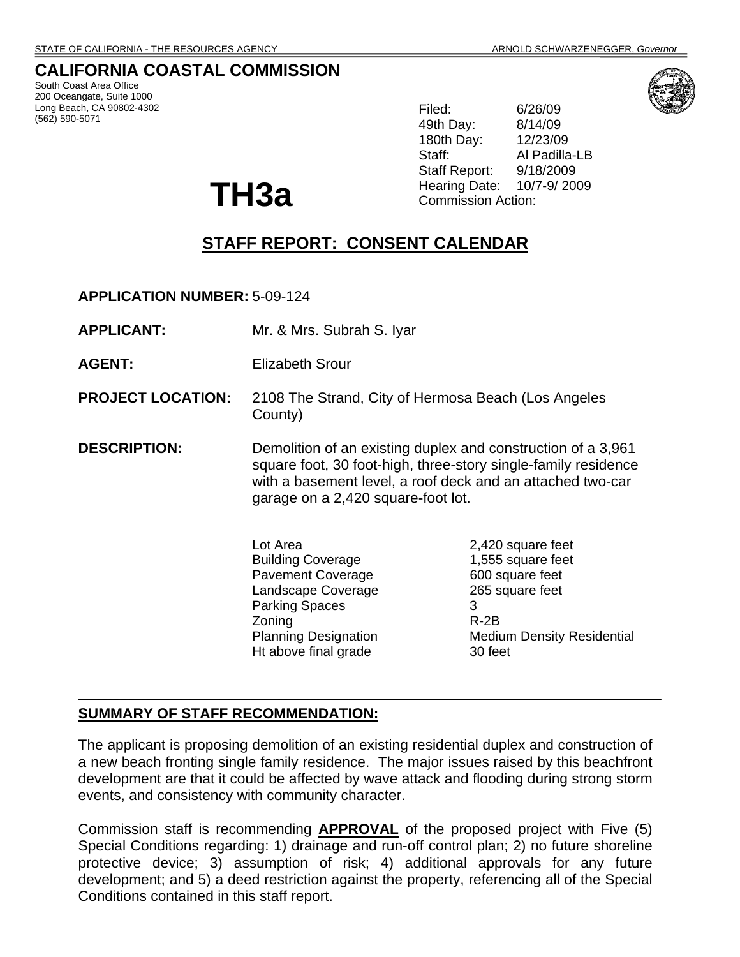## **CALIFORNIA COASTAL COMMISSION**

South Coast Area Office 200 Oceangate, Suite 1000 Long Beach, CA 90802-4302 (562) 590-5071

Filed: 6/26/09 49th Day: 8/14/09 180th Day: 12/23/09 Staff: Al Padilla-LB Staff Report: 9/18/2009 Hearing Date: 10/7-9/ 2009 Commission Action:

# **STAFF REPORT: CONSENT CALENDAR**

**APPLICATION NUMBER:** 5-09-124

**APPLICANT:** Mr. & Mrs. Subrah S. Iyar

**TH3a** 

**AGENT:** Elizabeth Srour

- **PROJECT LOCATION:** 2108 The Strand, City of Hermosa Beach (Los Angeles County)
- **DESCRIPTION:** Demolition of an existing duplex and construction of a 3,961 square foot, 30 foot-high, three-story single-family residence with a basement level, a roof deck and an attached two-car garage on a 2,420 square-foot lot.

Lot Area 2,420 square feet Building Coverage 1,555 square feet Pavement Coverage 600 square feet Landscape Coverage 265 square feet Parking Spaces 3 Zoning R-2B Ht above final grade 30 feet

Planning Designation Medium Density Residential

#### **SUMMARY OF STAFF RECOMMENDATION:**

The applicant is proposing demolition of an existing residential duplex and construction of a new beach fronting single family residence. The major issues raised by this beachfront development are that it could be affected by wave attack and flooding during strong storm events, and consistency with community character.

Commission staff is recommending **APPROVAL** of the proposed project with Five (5) Special Conditions regarding: 1) drainage and run-off control plan; 2) no future shoreline protective device; 3) assumption of risk; 4) additional approvals for any future development; and 5) a deed restriction against the property, referencing all of the Special Conditions contained in this staff report.

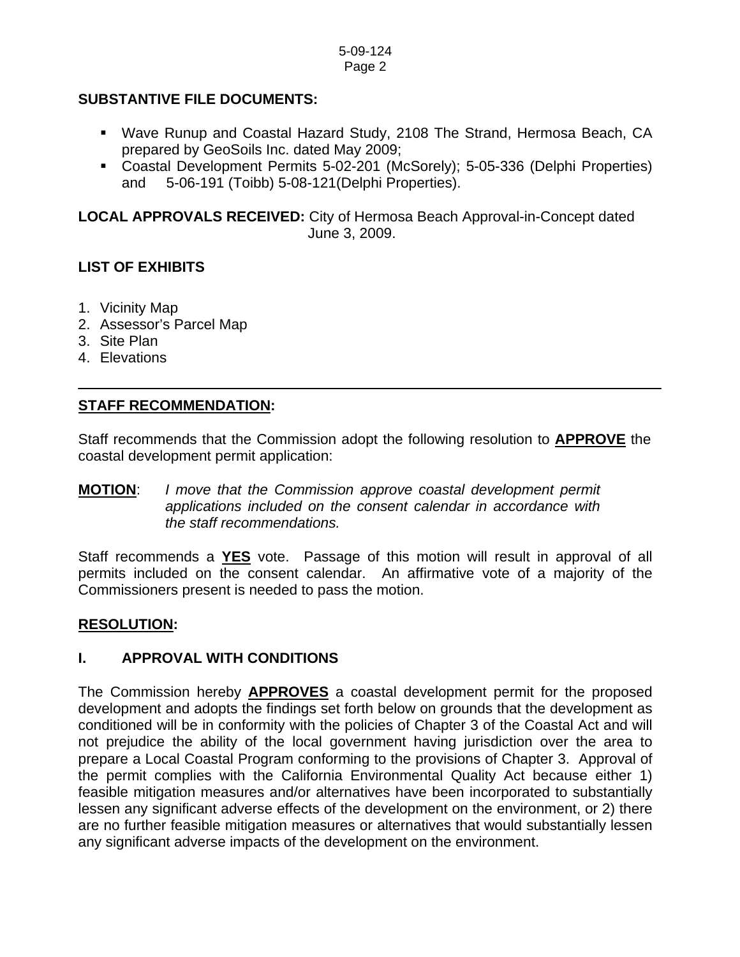#### **SUBSTANTIVE FILE DOCUMENTS:**

- Wave Runup and Coastal Hazard Study, 2108 The Strand, Hermosa Beach, CA prepared by GeoSoils Inc. dated May 2009;
- Coastal Development Permits 5-02-201 (McSorely); 5-05-336 (Delphi Properties) and 5-06-191 (Toibb) 5-08-121(Delphi Properties).

**LOCAL APPROVALS RECEIVED:** City of Hermosa Beach Approval-in-Concept dated June 3, 2009.

## **LIST OF EXHIBITS**

- 1. Vicinity Map
- 2. Assessor's Parcel Map
- 3. Site Plan
- 4. Elevations

## **STAFF RECOMMENDATION:**

Staff recommends that the Commission adopt the following resolution to **APPROVE** the coastal development permit application:

#### **MOTION**: *I move that the Commission approve coastal development permit applications included on the consent calendar in accordance with the staff recommendations.*

Staff recommends a **YES** vote. Passage of this motion will result in approval of all permits included on the consent calendar. An affirmative vote of a majority of the Commissioners present is needed to pass the motion.

#### **RESOLUTION:**

## **I. APPROVAL WITH CONDITIONS**

The Commission hereby **APPROVES** a coastal development permit for the proposed development and adopts the findings set forth below on grounds that the development as conditioned will be in conformity with the policies of Chapter 3 of the Coastal Act and will not prejudice the ability of the local government having jurisdiction over the area to prepare a Local Coastal Program conforming to the provisions of Chapter 3. Approval of the permit complies with the California Environmental Quality Act because either 1) feasible mitigation measures and/or alternatives have been incorporated to substantially lessen any significant adverse effects of the development on the environment, or 2) there are no further feasible mitigation measures or alternatives that would substantially lessen any significant adverse impacts of the development on the environment.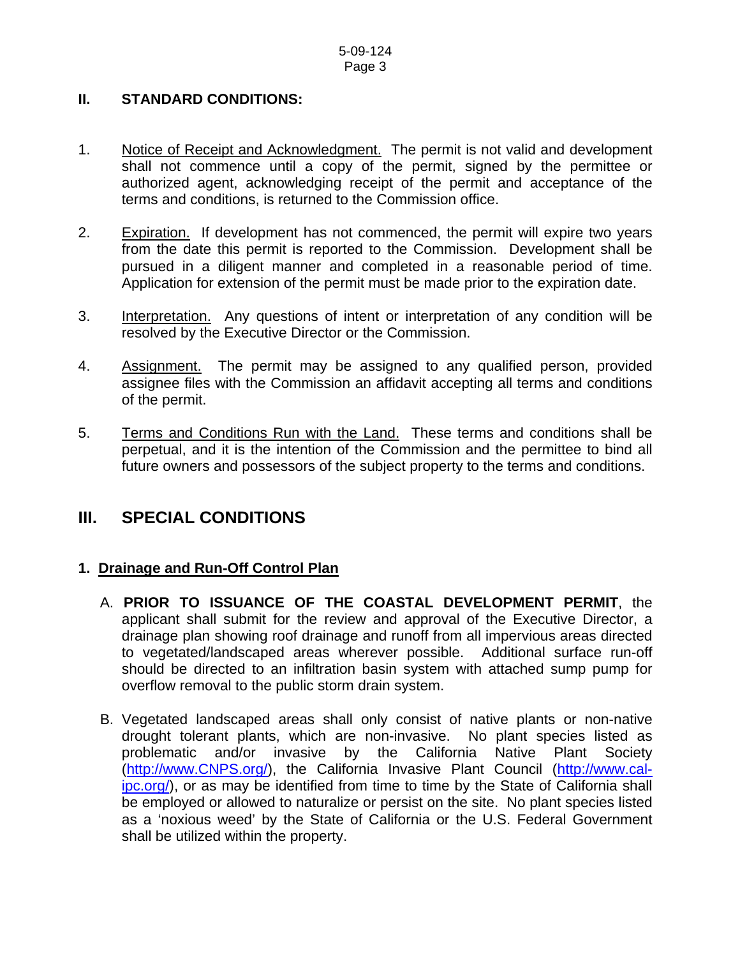### **II. STANDARD CONDITIONS:**

- 1. Notice of Receipt and Acknowledgment. The permit is not valid and development shall not commence until a copy of the permit, signed by the permittee or authorized agent, acknowledging receipt of the permit and acceptance of the terms and conditions, is returned to the Commission office.
- 2. Expiration. If development has not commenced, the permit will expire two years from the date this permit is reported to the Commission. Development shall be pursued in a diligent manner and completed in a reasonable period of time. Application for extension of the permit must be made prior to the expiration date.
- 3. Interpretation. Any questions of intent or interpretation of any condition will be resolved by the Executive Director or the Commission.
- 4. Assignment. The permit may be assigned to any qualified person, provided assignee files with the Commission an affidavit accepting all terms and conditions of the permit.
- 5. Terms and Conditions Run with the Land. These terms and conditions shall be perpetual, and it is the intention of the Commission and the permittee to bind all future owners and possessors of the subject property to the terms and conditions.

## **III. SPECIAL CONDITIONS**

## **1. Drainage and Run-Off Control Plan**

- A. **PRIOR TO ISSUANCE OF THE COASTAL DEVELOPMENT PERMIT**, the applicant shall submit for the review and approval of the Executive Director, a drainage plan showing roof drainage and runoff from all impervious areas directed to vegetated/landscaped areas wherever possible. Additional surface run-off should be directed to an infiltration basin system with attached sump pump for overflow removal to the public storm drain system.
- B. Vegetated landscaped areas shall only consist of native plants or non-native drought tolerant plants, which are non-invasive. No plant species listed as problematic and/or invasive by the California Native Plant Society ([http://www.CNPS.org/](http://www.cnps.org/)), the California Invasive Plant Council [\(http://www.cal](http://www.cal-ipc.org/)[ipc.org/](http://www.cal-ipc.org/)), or as may be identified from time to time by the State of California shall be employed or allowed to naturalize or persist on the site. No plant species listed as a 'noxious weed' by the State of California or the U.S. Federal Government shall be utilized within the property.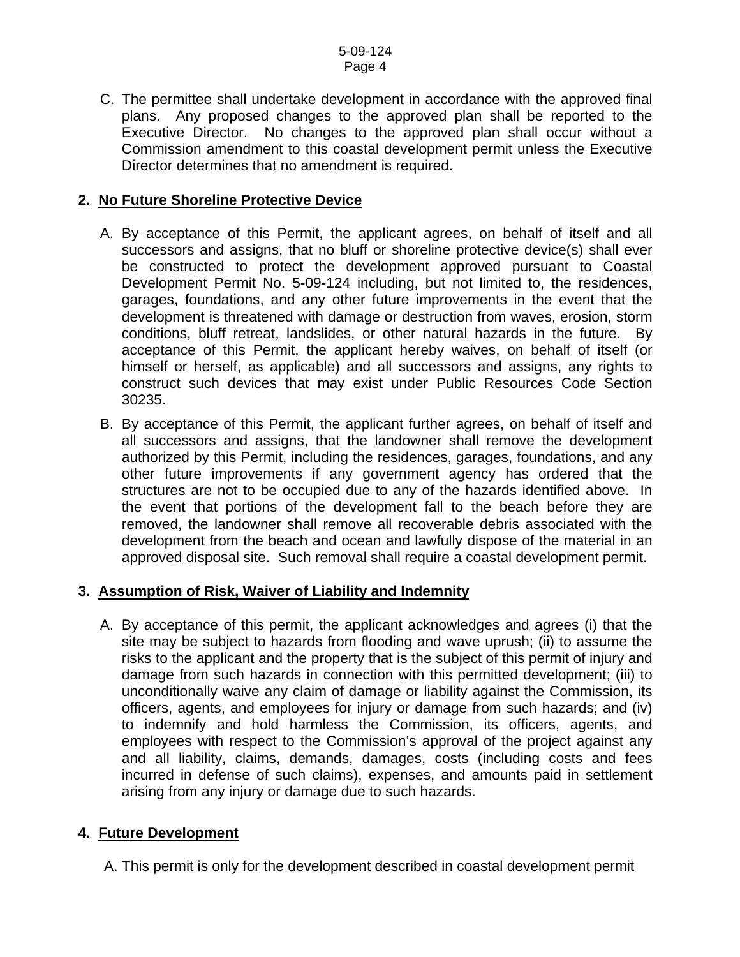C. The permittee shall undertake development in accordance with the approved final plans. Any proposed changes to the approved plan shall be reported to the Executive Director. No changes to the approved plan shall occur without a Commission amendment to this coastal development permit unless the Executive Director determines that no amendment is required.

#### **2. No Future Shoreline Protective Device**

- A. By acceptance of this Permit, the applicant agrees, on behalf of itself and all successors and assigns, that no bluff or shoreline protective device(s) shall ever be constructed to protect the development approved pursuant to Coastal Development Permit No. 5-09-124 including, but not limited to, the residences, garages, foundations, and any other future improvements in the event that the development is threatened with damage or destruction from waves, erosion, storm conditions, bluff retreat, landslides, or other natural hazards in the future. By acceptance of this Permit, the applicant hereby waives, on behalf of itself (or himself or herself, as applicable) and all successors and assigns, any rights to construct such devices that may exist under Public Resources Code Section 30235.
- B. By acceptance of this Permit, the applicant further agrees, on behalf of itself and all successors and assigns, that the landowner shall remove the development authorized by this Permit, including the residences, garages, foundations, and any other future improvements if any government agency has ordered that the structures are not to be occupied due to any of the hazards identified above. In the event that portions of the development fall to the beach before they are removed, the landowner shall remove all recoverable debris associated with the development from the beach and ocean and lawfully dispose of the material in an approved disposal site. Such removal shall require a coastal development permit.

## **3. Assumption of Risk, Waiver of Liability and Indemnity**

A. By acceptance of this permit, the applicant acknowledges and agrees (i) that the site may be subject to hazards from flooding and wave uprush; (ii) to assume the risks to the applicant and the property that is the subject of this permit of injury and damage from such hazards in connection with this permitted development; (iii) to unconditionally waive any claim of damage or liability against the Commission, its officers, agents, and employees for injury or damage from such hazards; and (iv) to indemnify and hold harmless the Commission, its officers, agents, and employees with respect to the Commission's approval of the project against any and all liability, claims, demands, damages, costs (including costs and fees incurred in defense of such claims), expenses, and amounts paid in settlement arising from any injury or damage due to such hazards.

#### **4. Future Development**

A. This permit is only for the development described in coastal development permit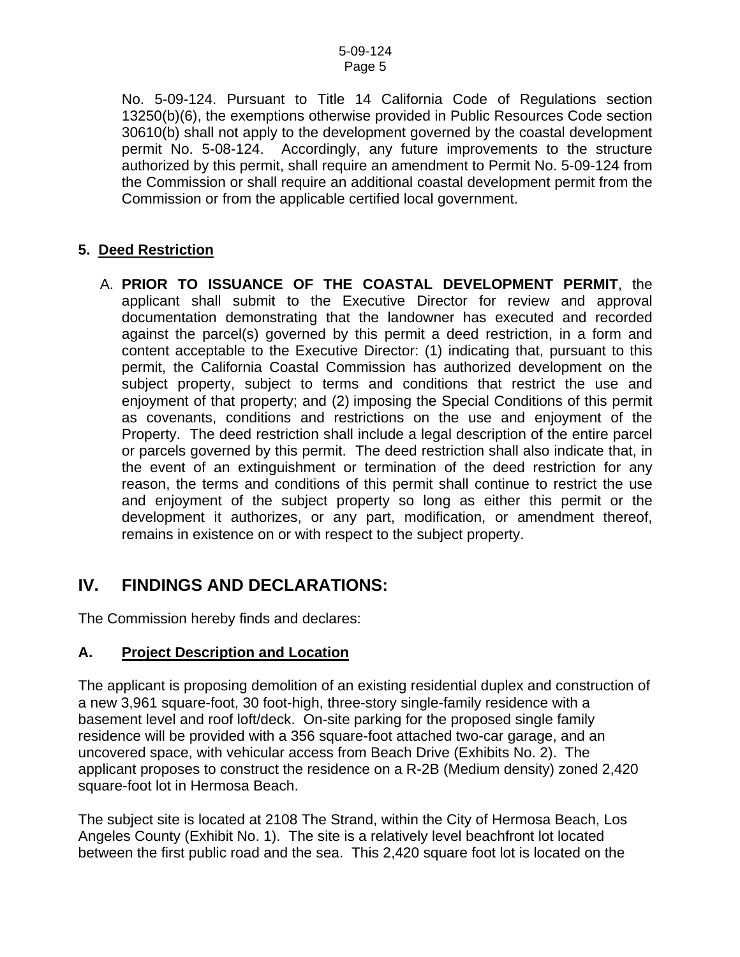No. 5-09-124. Pursuant to Title 14 California Code of Regulations section 13250(b)(6), the exemptions otherwise provided in Public Resources Code section 30610(b) shall not apply to the development governed by the coastal development permit No. 5-08-124. Accordingly, any future improvements to the structure authorized by this permit, shall require an amendment to Permit No. 5-09-124 from the Commission or shall require an additional coastal development permit from the Commission or from the applicable certified local government.

### **5. Deed Restriction**

A. **PRIOR TO ISSUANCE OF THE COASTAL DEVELOPMENT PERMIT**, the applicant shall submit to the Executive Director for review and approval documentation demonstrating that the landowner has executed and recorded against the parcel(s) governed by this permit a deed restriction, in a form and content acceptable to the Executive Director: (1) indicating that, pursuant to this permit, the California Coastal Commission has authorized development on the subject property, subject to terms and conditions that restrict the use and enjoyment of that property; and (2) imposing the Special Conditions of this permit as covenants, conditions and restrictions on the use and enjoyment of the Property. The deed restriction shall include a legal description of the entire parcel or parcels governed by this permit. The deed restriction shall also indicate that, in the event of an extinguishment or termination of the deed restriction for any reason, the terms and conditions of this permit shall continue to restrict the use and enjoyment of the subject property so long as either this permit or the development it authorizes, or any part, modification, or amendment thereof, remains in existence on or with respect to the subject property.

## **IV. FINDINGS AND DECLARATIONS:**

The Commission hereby finds and declares:

## **A. Project Description and Location**

The applicant is proposing demolition of an existing residential duplex and construction of a new 3,961 square-foot, 30 foot-high, three-story single-family residence with a basement level and roof loft/deck. On-site parking for the proposed single family residence will be provided with a 356 square-foot attached two-car garage, and an uncovered space, with vehicular access from Beach Drive (Exhibits No. 2). The applicant proposes to construct the residence on a R-2B (Medium density) zoned 2,420 square-foot lot in Hermosa Beach.

The subject site is located at 2108 The Strand, within the City of Hermosa Beach, Los Angeles County (Exhibit No. 1). The site is a relatively level beachfront lot located between the first public road and the sea. This 2,420 square foot lot is located on the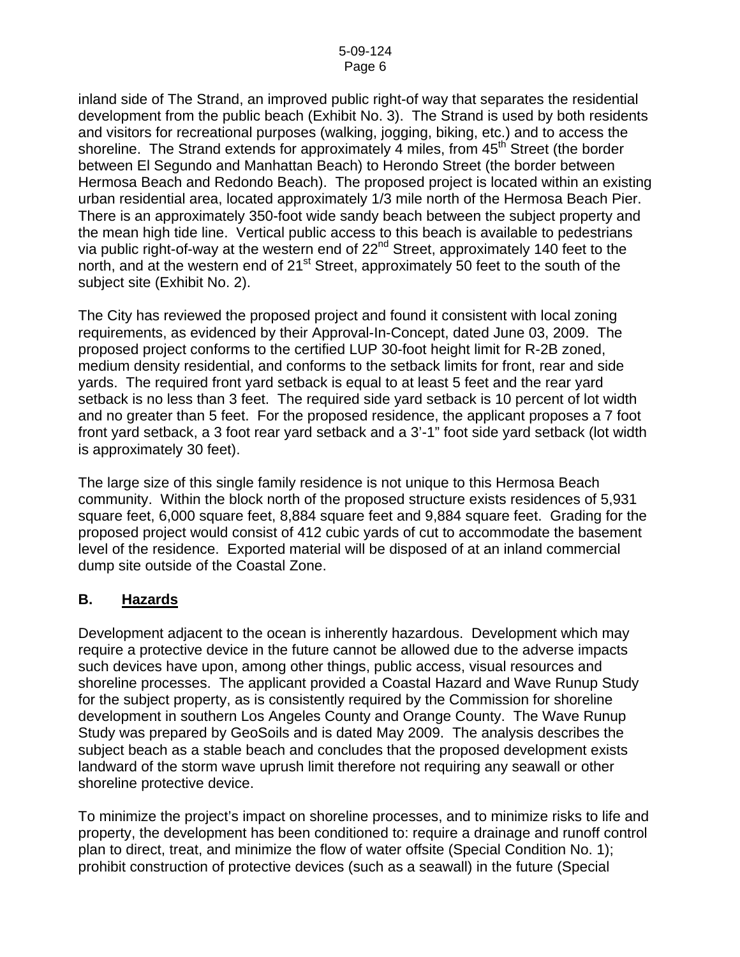inland side of The Strand, an improved public right-of way that separates the residential development from the public beach (Exhibit No. 3). The Strand is used by both residents and visitors for recreational purposes (walking, jogging, biking, etc.) and to access the shoreline. The Strand extends for approximately 4 miles, from  $45<sup>th</sup>$  Street (the border between El Segundo and Manhattan Beach) to Herondo Street (the border between Hermosa Beach and Redondo Beach). The proposed project is located within an existing urban residential area, located approximately 1/3 mile north of the Hermosa Beach Pier. There is an approximately 350-foot wide sandy beach between the subject property and the mean high tide line. Vertical public access to this beach is available to pedestrians via public right-of-way at the western end of 22<sup>nd</sup> Street, approximately 140 feet to the north, and at the western end of 21<sup>st</sup> Street, approximately 50 feet to the south of the subject site (Exhibit No. 2).

The City has reviewed the proposed project and found it consistent with local zoning requirements, as evidenced by their Approval-In-Concept, dated June 03, 2009. The proposed project conforms to the certified LUP 30-foot height limit for R-2B zoned, medium density residential, and conforms to the setback limits for front, rear and side yards. The required front yard setback is equal to at least 5 feet and the rear yard setback is no less than 3 feet. The required side yard setback is 10 percent of lot width and no greater than 5 feet. For the proposed residence, the applicant proposes a 7 foot front yard setback, a 3 foot rear yard setback and a 3'-1" foot side yard setback (lot width is approximately 30 feet).

The large size of this single family residence is not unique to this Hermosa Beach community. Within the block north of the proposed structure exists residences of 5,931 square feet, 6,000 square feet, 8,884 square feet and 9,884 square feet. Grading for the proposed project would consist of 412 cubic yards of cut to accommodate the basement level of the residence. Exported material will be disposed of at an inland commercial dump site outside of the Coastal Zone.

#### **B. Hazards**

Development adjacent to the ocean is inherently hazardous. Development which may require a protective device in the future cannot be allowed due to the adverse impacts such devices have upon, among other things, public access, visual resources and shoreline processes. The applicant provided a Coastal Hazard and Wave Runup Study for the subject property, as is consistently required by the Commission for shoreline development in southern Los Angeles County and Orange County. The Wave Runup Study was prepared by GeoSoils and is dated May 2009. The analysis describes the subject beach as a stable beach and concludes that the proposed development exists landward of the storm wave uprush limit therefore not requiring any seawall or other shoreline protective device.

To minimize the project's impact on shoreline processes, and to minimize risks to life and property, the development has been conditioned to: require a drainage and runoff control plan to direct, treat, and minimize the flow of water offsite (Special Condition No. 1); prohibit construction of protective devices (such as a seawall) in the future (Special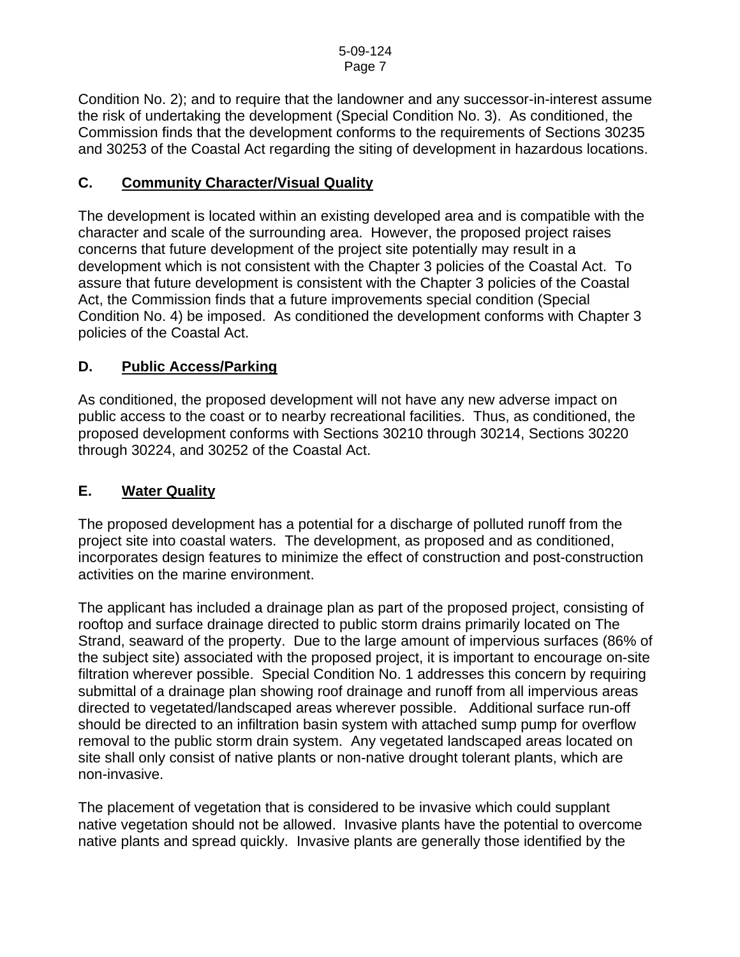Condition No. 2); and to require that the landowner and any successor-in-interest assume the risk of undertaking the development (Special Condition No. 3). As conditioned, the Commission finds that the development conforms to the requirements of Sections 30235 and 30253 of the Coastal Act regarding the siting of development in hazardous locations.

## **C. Community Character/Visual Quality**

The development is located within an existing developed area and is compatible with the character and scale of the surrounding area. However, the proposed project raises concerns that future development of the project site potentially may result in a development which is not consistent with the Chapter 3 policies of the Coastal Act. To assure that future development is consistent with the Chapter 3 policies of the Coastal Act, the Commission finds that a future improvements special condition (Special Condition No. 4) be imposed. As conditioned the development conforms with Chapter 3 policies of the Coastal Act.

### **D. Public Access/Parking**

As conditioned, the proposed development will not have any new adverse impact on public access to the coast or to nearby recreational facilities. Thus, as conditioned, the proposed development conforms with Sections 30210 through 30214, Sections 30220 through 30224, and 30252 of the Coastal Act.

#### **E. Water Quality**

The proposed development has a potential for a discharge of polluted runoff from the project site into coastal waters. The development, as proposed and as conditioned, incorporates design features to minimize the effect of construction and post-construction activities on the marine environment.

The applicant has included a drainage plan as part of the proposed project, consisting of rooftop and surface drainage directed to public storm drains primarily located on The Strand, seaward of the property. Due to the large amount of impervious surfaces (86% of the subject site) associated with the proposed project, it is important to encourage on-site filtration wherever possible. Special Condition No. 1 addresses this concern by requiring submittal of a drainage plan showing roof drainage and runoff from all impervious areas directed to vegetated/landscaped areas wherever possible. Additional surface run-off should be directed to an infiltration basin system with attached sump pump for overflow removal to the public storm drain system. Any vegetated landscaped areas located on site shall only consist of native plants or non-native drought tolerant plants, which are non-invasive.

The placement of vegetation that is considered to be invasive which could supplant native vegetation should not be allowed. Invasive plants have the potential to overcome native plants and spread quickly. Invasive plants are generally those identified by the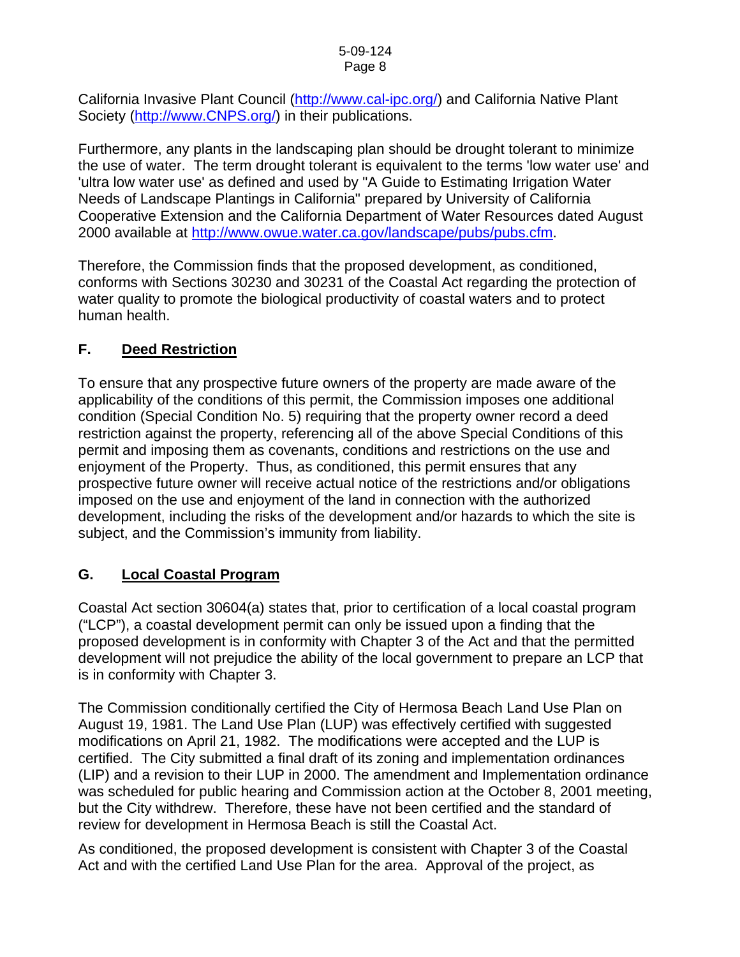California Invasive Plant Council [\(http://www.cal-ipc.org/](http://www.cal-ipc.org/)) and California Native Plant Society [\(http://www.CNPS.org/](http://www.cnps.org/)) in their publications.

Furthermore, any plants in the landscaping plan should be drought tolerant to minimize the use of water. The term drought tolerant is equivalent to the terms 'low water use' and 'ultra low water use' as defined and used by "A Guide to Estimating Irrigation Water Needs of Landscape Plantings in California" prepared by University of California Cooperative Extension and the California Department of Water Resources dated August 2000 available at [http://www.owue.water.ca.gov/landscape/pubs/pubs.cfm.](http://www.owue.water.ca.gov/landscape/pubs/pubs.cfm)

Therefore, the Commission finds that the proposed development, as conditioned, conforms with Sections 30230 and 30231 of the Coastal Act regarding the protection of water quality to promote the biological productivity of coastal waters and to protect human health.

## **F. Deed Restriction**

To ensure that any prospective future owners of the property are made aware of the applicability of the conditions of this permit, the Commission imposes one additional condition (Special Condition No. 5) requiring that the property owner record a deed restriction against the property, referencing all of the above Special Conditions of this permit and imposing them as covenants, conditions and restrictions on the use and enjoyment of the Property. Thus, as conditioned, this permit ensures that any prospective future owner will receive actual notice of the restrictions and/or obligations imposed on the use and enjoyment of the land in connection with the authorized development, including the risks of the development and/or hazards to which the site is subject, and the Commission's immunity from liability.

### **G. Local Coastal Program**

Coastal Act section 30604(a) states that, prior to certification of a local coastal program ("LCP"), a coastal development permit can only be issued upon a finding that the proposed development is in conformity with Chapter 3 of the Act and that the permitted development will not prejudice the ability of the local government to prepare an LCP that is in conformity with Chapter 3.

The Commission conditionally certified the City of Hermosa Beach Land Use Plan on August 19, 1981. The Land Use Plan (LUP) was effectively certified with suggested modifications on April 21, 1982. The modifications were accepted and the LUP is certified. The City submitted a final draft of its zoning and implementation ordinances (LIP) and a revision to their LUP in 2000. The amendment and Implementation ordinance was scheduled for public hearing and Commission action at the October 8, 2001 meeting, but the City withdrew. Therefore, these have not been certified and the standard of review for development in Hermosa Beach is still the Coastal Act.

As conditioned, the proposed development is consistent with Chapter 3 of the Coastal Act and with the certified Land Use Plan for the area. Approval of the project, as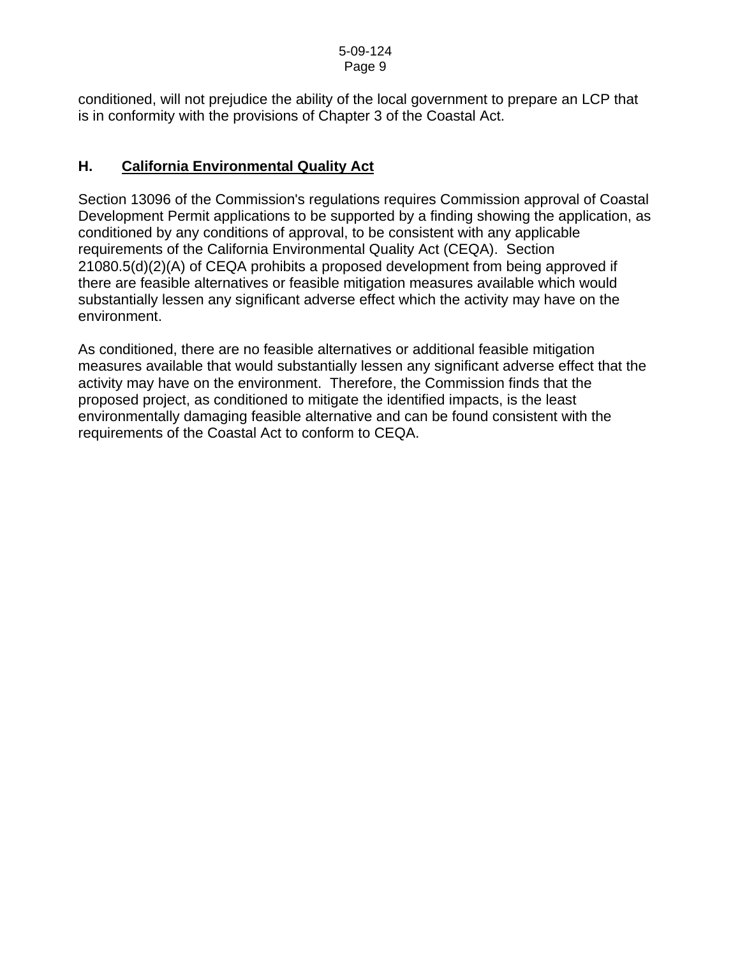conditioned, will not prejudice the ability of the local government to prepare an LCP that is in conformity with the provisions of Chapter 3 of the Coastal Act.

## **H. California Environmental Quality Act**

Section 13096 of the Commission's regulations requires Commission approval of Coastal Development Permit applications to be supported by a finding showing the application, as conditioned by any conditions of approval, to be consistent with any applicable requirements of the California Environmental Quality Act (CEQA). Section 21080.5(d)(2)(A) of CEQA prohibits a proposed development from being approved if there are feasible alternatives or feasible mitigation measures available which would substantially lessen any significant adverse effect which the activity may have on the environment.

As conditioned, there are no feasible alternatives or additional feasible mitigation measures available that would substantially lessen any significant adverse effect that the activity may have on the environment. Therefore, the Commission finds that the proposed project, as conditioned to mitigate the identified impacts, is the least environmentally damaging feasible alternative and can be found consistent with the requirements of the Coastal Act to conform to CEQA.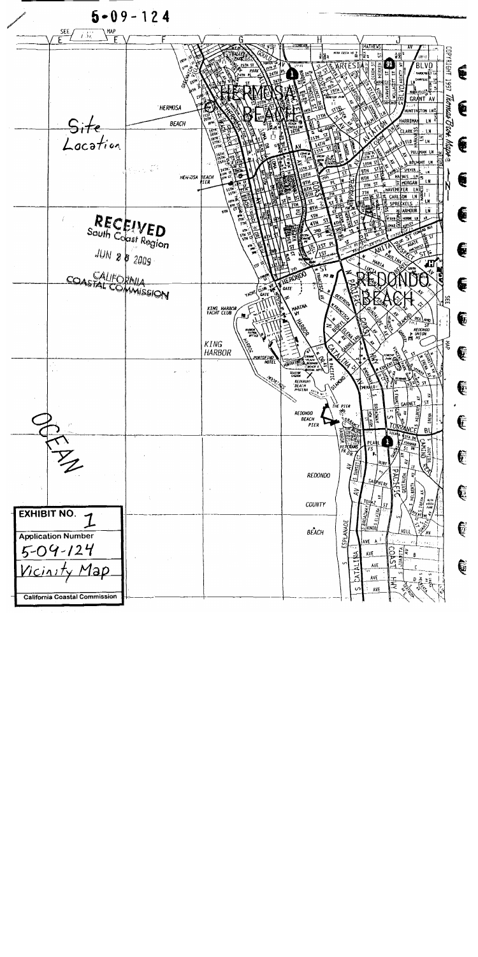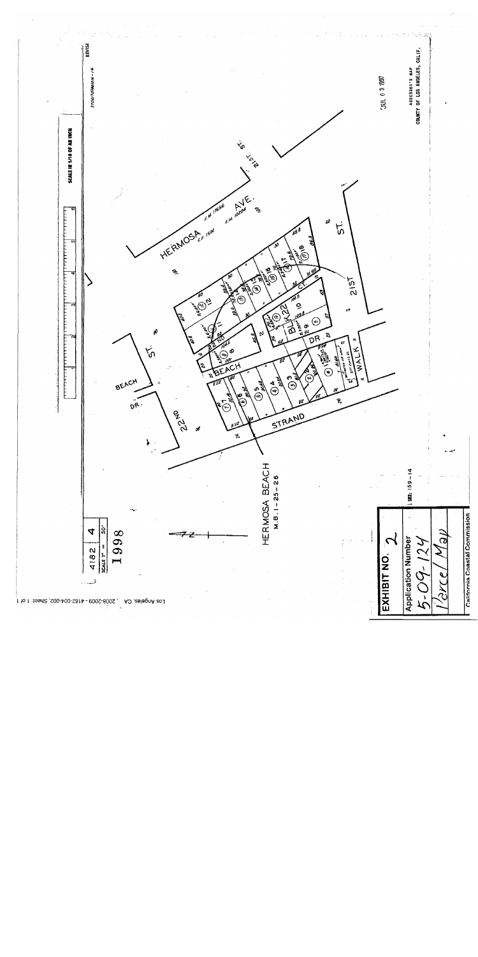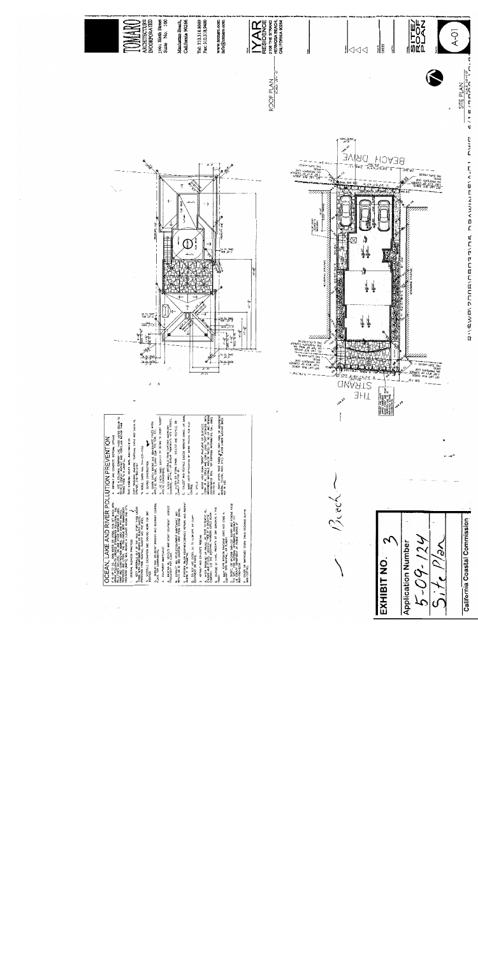